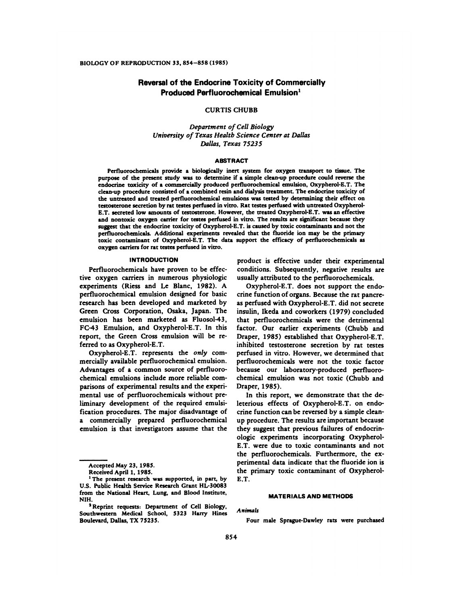# Reversal of the Endocrine Toxicity of Commercially **Produced Perfluorochemical Emulsion1**

## CURTIS CHUBB

*Department of Cell Biology University of Texas Health Science Center at Dallas Dallas, Texas 75235*

## ABSTRACT

Perfluorochemicals provide a biologically inert system for oxygen transport to tissue. The purpose of the present study was to determine if a simple clean-up procedure could reverse the endocrine toxicity of a commercially produced perfluorochemical emulsion, Oxypherol-E.T. The clean-up procedure consisted of a combined resin and dialysis treatment. The endocrine toxicity of the untreated and treated perfluorochemical emulsions was tested by determining their effect on testosterone secretion by rat testes perfused in vitro. Rat testes perfused with untreated Oxypherol-E.T. secreted low amounts of testosterone. However, the treated Oxypherol-E.T. was an effective and nontoxic oxygen carrier for testes perfused in vitro. The results are significant because they suggest that the endocrine toxicity of Oxypherol-E.T. is caused by toxic contaminants and not the perfluorochemicahs. Additional experiments revealed that the fluoride ion may be the primary toxic contaminant of Oxypherol-E.T. The data support the efficacy of perfluorochemicals as oxygen carriers for rat testes perfused in vitro.

## **INTRODUCTION**

Perfluorochemicals have proven to be effective oxygen carriers in numerous physiologic experiments (Riess and Le Blanc, 1982). A perfluorochemical emulsion designed for basic research has been developed and marketed by Green Cross Corporation, Osaka, Japan. The emulsion has been marketed as Fluosol-43, FC-43 Emulsion, and Oxypherol-E.T. In this report, the Green Cross emulsion will be referred to as Oxypherol-E.T.

Oxypherol-E.T. represents the *only* com mercially available perfluorochemical emulsion. Advantages of a common source of perfluoro chemical emulsions include more reliable com parisons of experimental results and the experimental use of perfluorochemicals without preliminary development of the required emulsification procedures. The major disadvantage of a commercially prepared perfluorochemical emulsion is that investigators assume that the product is effective under their experimental conditions. Subsequently, negative results are usually attributed to the perfluorochemicals.

Oxypherol-E.T. does not support the endocrine function of organs. Because the rat pancre as perfused with Oxypherol-E.T. did not secrete insulin, Ikeda and coworkers (1979) concluded that perfluorochemicals were the detrimental factor. Our earlier experiments (Chubb and Draper, 1985) established that Oxypherol-E.T. inhibited testosterone secretion by rat testes perfused in vitro. However, we determined that perfluorochemicals were not the toxic factor because our laboratory-produced perfluorochemical emulsion was not toxic (Chubb and Draper, 1985).

In this report, we demonstrate that the deleterious effects of Oxypherol-E.T. on endocrine function can be reversed by a simple cleanup procedure. The results are important because they suggest that previous failures of endocrinologic experiments incorporating Oxypherol-E.T. were due to toxic contaminants and not the perfluorochemicals. Furthermore, the ex perimental data indicate that the fluoride ion is the primary toxic contaminant of Oxypherol-E.T.

#### MATERIALS AND METHODS

*Animals*

Four male Sprague-Dawley rats were purchased

Accepted May 23, 1985.

Received April 1, 1985.

<sup>&#</sup>x27;The present research was supported, in part, by U.S. Public Health Service Research Grant HL-30083 from the National Heart, Lung, and Blood Institute, NIH.

<sup>&</sup>lt;sup>2</sup> Reprint requests: Department of Cell Biology, Southwestern Medical School, 5323 Harry Hines Boulevard, Dallas, TX 75235.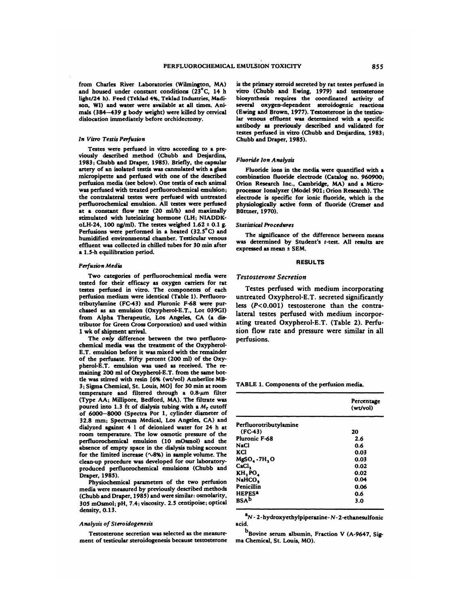from Charles River Laboratories (Wilmington, MA) and housed under constant conditions  $(23^{\circ}C, 14 h)$ light/24 h). Feed (Teklad 4%, Teklad Industries, Madison, WI) and water were available at all times. Ani mals (384-439 g body weight) were killed by cervical dislocation immediately before orchidectomy.

#### *In Vitro Testis Perfusion*

Testes were perfused in vitro according to a pre viously described method (Chubb and Desjardins, 1983; Chubb and Draper, 1985). Briefly, the capsular artery of an isolated testis was cannulated with a glass micropipette and perfused with one of the described perfusion media (see below). One testis of each animal was perfused with treated perfluorochemical emulsion; the contralateral testes were perfused with untreated perfluorochemical emulsion. All testes were perfused at a constant flow rate (20 mI/h) and maximally stimulated with luteinizing hormone (LH; NIADDKoLH-24, 100 ng/ml). The testes weighed  $1.62 \pm 0.1$  g. Perfusions were performed in a heated  $(32.5^{\circ}C)$  and humidified environmental chamber. Testicular venous effluent was collected in chilled tubes for 30 min after a *1.5-h* equilibration period.

#### *Perfusion Media*

Two categories of perfluorochemical media were tested for their efficacy as oxygen carriers for rat testes perfused in vitro. The components of each perfusion medium were identical (Table 1). Perfluorotributylamine (FC-43) and Phuronic F-68 were pur chased as an emulsion (Oxypherol-E.T., Lot 039G1) from Alpha Therapeutic, Los Angeles, CA (a distributor for Green Cross Corporation) and used within 1 wk of shipment arrival.

The *only* difference between the two perfluoro chemical media was the treatment of the Oxypherol- E.T. emulsion before it was mixed with the remainder of the perfusate. Fifty percent (200 ml) of the Oxypherol-E.T. emulsion was used as received. The remaining 200 ml of Oxypherol-E.T. from the same bottle was stirred with resin [6% (wt/vol) Amberlite MB-3; Sigma Chemical, St. Louis, MO) for 30 mm at room temperature and filtered through a  $0.8$ - $\mu$ m filter (Type AA; Millipore, Bedford, MA). The filtrate was poured into 1.3 ft of dialysis tubing with a  $M_r$  cutoff of 6000-8000 (Spectra Por 1, cylinder diameter of 32.8 mm; Spectrum Medical, Los Angeles, CA) and dialyzed against 4 I of deionized water for 24 h at room temperature. The low osmotic pressure of the perfluorochemical emulsion (10 mOsmol) and the absence of empty space in the dialysis tubing account for the limited increase  $(\sim8\%)$  in sample volume. The clean-up procedure was developed for our laboratoryproduced perfluorochemical emulsions (Chubb and Draper, 1985).

Physiochemical parameters of the two perfusion media were measured by previously described methods (Chubb and Draper, 1985) and were similar: osmolarity. 305 mOsmol; pH, 7.4; viscosity. 2.5 centipoise; optical density, 0.13.

#### *Analysis of Steroidogenesis*

Testosterone secretion was selected as the measure ment of testicular steroidogenesis because testosterone is the primary steroid secreted by rat testes perfused in vitro (Chubb and Ewing, 1979) and testosterone biosynthesis requires the coordinated activity of several oxygen-dependent steroidogenic reactions (Ewing and Brown, 1977). Testosterone in the testicular venous effluent was determined with a specific antibody as previously described and validated for testes perfused in vitro (Chubb and Desjardins, 1983; Chubb and Draper, 1985).

#### *Fluoride Ion Analysis*

Fluoride ions in the media were quantified with a combination fluoride electrode (Catalog no. 960900; Orion Research Inc., Cambridge, MA) and a Micro processor Ionalyzer (Model 901; Orion Research). The electrode is specific for ionic fluoride, which is the physiologically active form of fluoride (Cremer and Blittner, 1970).

#### *Statistical Procedures*

The significance of the difference between means was determined by Student's t-test. All results are expressed as mean *<sup>±</sup>* SEM.

#### RESULTS

## *Testosterone Secretion*

Testes perfused with medium incorporating untreated Oxypherol-E.T. secreted significantly less *(P<0.001)* testosterone than the contralateral testes perfused with medium incorporating treated Oxypherol-E.T. (Table 2). Perfusion flow rate and pressure were similar in all perfusions.

TABLE 1. Components of the perfusion media.

|                           | Percentage<br>(wt/vol) |
|---------------------------|------------------------|
| Perfluorotributylamine    |                        |
| $(FC-43)$                 | 20                     |
| Pluronic F-68             | 2.6                    |
| NaCl                      | 0.6                    |
| KCl                       | 0.03                   |
| $M_{R}SO_{4}\cdot7H_{2}O$ | 0.03                   |
| CaCl,                     | 0.02                   |
| KH, PO,                   | 0.02                   |
| NaHCO,                    | 0.04                   |
| Penicillin                | 0.06                   |
| <b>HEPES<sup>2</sup></b>  | 0.6                    |
| <b>BSAb</b>               | 3.0                    |

a<sub>N</sub> - 2-hydroxyethylpiperazine - N - 2-ethanesulfonic acid.

b<sub>Bovine</sub> serum albumin, Fraction V (A-9647, Sigma Chemical, St. Louis, MO).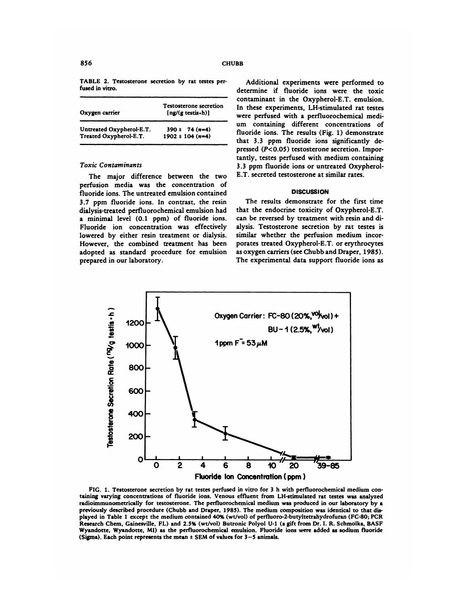TABLE 2. Testosterone secretion by rat testes perfused in vitro.

| Oxygen carrier           | <b>Testosterone secretion</b><br>[ng/(g testis-h)] |
|--------------------------|----------------------------------------------------|
| Untreated Oxypherol-E.T. | $390 \pm 74$ (n=4)                                 |
| Treated Oxypherol-E.T.   | $1902 \pm 104$ (n=4)                               |

#### *Toxic Contaminants*

The major difference between the two perfusion media was the concentration of fluoride ions. The untreated emulsion contained 3.7 ppm fluoride ions. In contrast, the resin dialysis-treated perfluorochemical emulsion had a minimal level (0.1 ppm) of fluoride ions. Fluoride ion concentration was effectively lowered by either resin treatment or dialysis. However, the combined treatment has been adopted as standard procedure for emulsion prepared in our laboratory.

Additional experiments were performed to determine if fluoride ions were the toxic contaminant in the Oxypherol-E.T. emulsion. In these experiments, LH-stimulated rat testes were perfused with a perfluorochemical medi um containing different concentrations of fluoride ions. The results (Fig. 1) demonstrate that 3.3 ppm fluoride ions significantly depressed (P<0.05) testosterone secretion. Importantly, testes perfused with medium containing 3.3 ppm fluoride ions or untreated Oxypherol-E.T. secreted testosterone at similar rates.

## **DISCUSSION**

The results demonstrate for the first time that the endocrine toxicity of Oxypherol-E.T. can be reversed by treatment with resin and dialysis. Testosterone secretion by rat testes is similar whether the perfusion medium incor porates treated Oxypherol-E.T. or erythrocytes as oxygen carriers (see Chubb and Draper, *1985).* The experimental data support fluoride ions as



FIG. 1. Testosterone secretion by rat testes perfused in vitro for 3 h with perfluorochemical medium containing varying concentrations of fluoride ions. Venous effluent from LH-stimulated rat testes was analyzed radioimmunometrically for testosterone. The perfluorochemical medium was produced in our laboratory by a previously described procedure (Chubb and Draper, 1985). The medium composition was identical to that dis played in Table 1 except the medium contained 40% (wt/vol) of perfluoro-2-butyltetrahydrofuran (FC-80; PCR Research Chem, Gainesville, FL) and 2.5% (wt/vol) Butronic Polyol U-i (a gift from Dr. I. R. Schmolka, BASF Wyandotte, Wyandotte, Ml) as the perfluorochemical emulsion. Fluoride ions were added as sodium fluoride (Sigma). Each point represents the mean *<sup>±</sup>* SEM of values for 3-5 animals.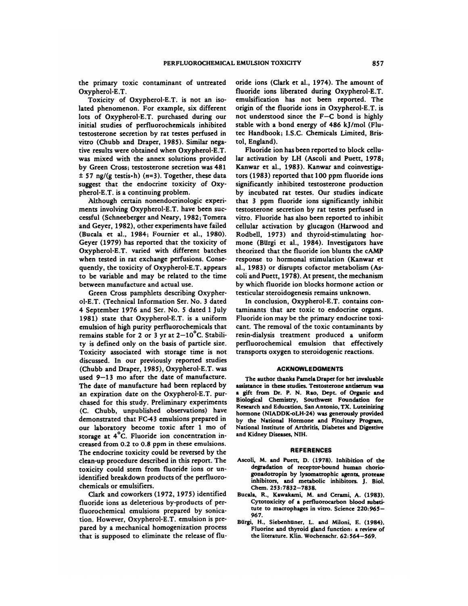the primary toxic contaminant of untreated Oxypherol-E.T.

Toxicity of Oxypherol-E.T. is not an isolated phenomenon. For example, six different lots of Oxypherol-E.T. purchased during our initial studies of perfluorochemicals inhibited testosterone secretion by rat testes perfused in vitro (Chubb and Draper, 1985). Similar negative results were obtained when Oxypherol-E.T. was mixed with the annex solutions provided by Green Cross; testosterone secretion was 481  $\pm$  57 ng/(g testis $\cdot$ h) (n=3). Together, these data suggest that the endocrine toxicity of Oxypherol-E.T. is a continuing problem.

Although certain nonendocrinologic experi ments involving Oxypherol-E.T. have been suc cessful (Schneeberger and Neary, 1982; Tomera and Geyer, 1982), other experiments have failed (Bucala et a!., 1984; Fournier et al., 1980). Geyer (1979) has reported that the toxicity of Oxypherol-E.T. varied with different batches when tested in rat exchange perfusions. Consequently, the toxicity of Oxypherol-E.T. appears to be variable and may be related to the time between manufacture and actual use.

Green Cross pamphlets describing Oxypher ol-E.T. (Technical Information Ser. No. 3 dated 4 September 1976 and Ser. No. 5 dated 1 July 1981) state that Oxypherol-E.T. is a uniform emulsion of high purity perfluorochemicals that remains stable for 2 or 3 yr at  $2-10^{\circ}$ C. Stability is defined only on the basis of particle size. Toxicity associated with storage time is not discussed. In our previously reported studies (Chubb and Draper, 1985), Oxypherol-E.T. was used 9-13 mo after the date of manufacture. The date of manufacture had been replaced by an expiration date on the Oxypherol-E.T. purchased for this study. Preliminary experiments (C. Chubb, unpublished observations) have demonstrated that FC-43 emulsions prepared in our laboratory become toxic after 1 mo of storage at  $4^{\circ}C$ . Fluoride ion concentration increased from 0.2 to 0.8 ppm in these emulsions. The endocrine toxicity could be reversed by the clean-up procedure described in this report. The toxicity could stem from fluoride ions or unidentified breakdown products of the perfluoro chemicals or emulsifiers.

Clark and coworkers (1972, 1975) identified fluoride ions as deleterious by-products of per fluorochemical emulsions prepared by sonication. However, Oxypherol-E.T. emulsion is prepared by a mechanical homogenization process that is supposed to eliminate the release of fluoride ions (Clark et al., 1974). The amount of fluoride ions liberated during Oxypherol-E.T. emulsification has not been reported. The origin of the fluoride ions in Oxypherol-E.T. is not understood since the F-C bond is highly stable with a bond energy of 486 kJ/mol (Flutec Handbook; I.S.C. Chemicals Limited, Bristol, England).

Fluoride ion has been reported to block cellular activation by LH (Ascoli and Puett, 1978; Kanwar et al., 1983). Kanwar and coinvestigators (1983) reported that 100 ppm fluoride ions significantly inhibited testosterone production by incubated rat testes. Our studies indicate that 3 ppm fluoride ions significantly inhibit testosterone secretion **by** rat testes perfused in vitro. Fluoride has also been reported to inhibit cellular activation by glucagon (Harwood and Rodbell, 1973) and thyroid-stimulating hor mone (Burgi et al., 1984). Investigators have theorized that the fluoride ion blunts the cAMP response to hormonal stimulation (Kanwar et al., 1983) or disrupts cofactor metabolism (As coli and Puett, 1978). At present, the mechanism by which fluoride ion blocks hormone action or testicular steroidogenesis remains unknown.

In conclusion, Oxypherol-E.T. contains contaminants that are toxic to endocrine organs. Fluoride ion may be the primary endocrine toxi cant. The removal of the toxic contaminants by resin-dialysis treatment produced a uniform perfluorochemical emulsion that effectively transports oxygen to steroidogenic reactions.

## **ACKNOWLEDGMENTS**

The author thanks Pamela Draper for her invaluable assistance in these studies. Testosterone antiserum was a gift from Dr. P. N. Rao, Dept. of Organic and Biological Chemistry, Southwest Foundation for Research and Education, San Antonio, TX. Luteinizing hormone (NIADDK-oLH-24) was generously provided by the National Hormone and Pituitary Program, National Institute of Arthritis, Diabetes and Digestive and Kidney Diseases, NIH.

#### **RE FERENCES**

- Ascoli, M. and Puett, D. (1978). Inhibition of the degradation of receptor-bound human choriogonadotropin by lysomatrophic agents, protease inhibitors, and metabolic inhibitors. J. Biol. Chem. 253:7832-7838.
- Bucala, R., Kawakami, M. and Cerami, A. (1983). Cytotoxicity of a perfluorocarbon blood substitute to macrophages in vitro. Science 220: 965- 967.
- Burgi, H., Siebenhtiner, L. and Miloni, E. (1984). Fluorine and thyroid gland function: a review of the literature. Klin. Wochenschr. 62:564-569.